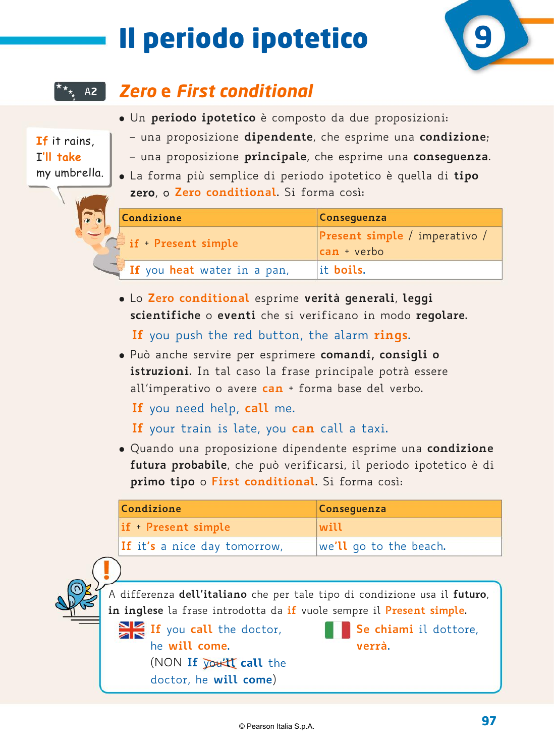# Il periodo ipotetico



**If** it rains, I**'ll take**

my umbrella.

## U**12** *Zero* **e** *First conditional* A**2**

- � Un **periodo ipotetico** è composto da due proposizioni:
- una proposizione **dipendente**, che esprime una **condizione**; – una proposizione **principale**, che esprime una **conseguenza**.
- � La forma più semplice di periodo ipotetico è quella di **tipo zero**, o **Zero conditional**. Si forma così:

| Condizione                  | Consequenza                                         |
|-----------------------------|-----------------------------------------------------|
| $\ge$ if + Present simple   | Present simple / imperativo /<br><b>can</b> + verbo |
| If you heat water in a pan, | lit boils.                                          |

� Lo **Zero conditional** esprime **verità generali**, **leggi scientifiche** o **eventi** che si verificano in modo **regolare**. **If** you push the red button, the alarm **rings**.

� Può anche servire per esprimere **comandi, consigli o istruzioni**. In tal caso la frase principale potrà essere all'imperativo o avere **can** + forma base del verbo.

**If** you need help, **call** me.

**If** your train is late, you **can** call a taxi.

� Quando una proposizione dipendente esprime una **condizione futura probabile**, che può verificarsi, il periodo ipotetico è di **primo tipo** o **First conditional**. Si forma così:

| Condizione                   | Conseguenza            |
|------------------------------|------------------------|
| $if + Present simple$        | will                   |
| If it's a nice day tomorrow, | we'll go to the beach. |



**If** you **call** the doctor, **Se chiami** il dottore, he **will come**. **verrà**. (NON **If** you**'ll call** the doctor, he **will come**)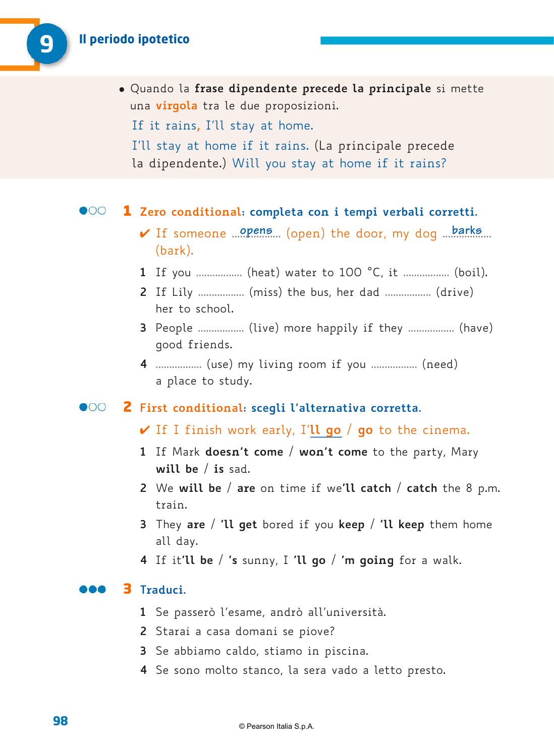� Quando la **frase dipendente precede la principale** si mette una **virgola** tra le due proposizioni. If it rains**,** I'll stay at home. I'll stay at home if it rains. (La principale precede la dipendente.) Will you stay at home if it rains?

#### $\bullet$ 00

#### 1 **Zero conditional: completa con i tempi verbali corretti.**

- 4 If someone .................. (open) the door, my dog .................. **opens barks** (bark).
- **1** If you ................. (heat) water to 100 °C, it .................. (boil).
- **2** If Lily ................. (miss) the bus, her dad ................. (drive) her to school.
- **3** People ................. (live) more happily if they ................. (have) good friends.
- **4** ................. (use) my living room if you ................. (need) a place to study.

#### 2 **First conditional: scegli l'alternativa corretta.**

- 4 If I finish work early, I'**ll go** / **go** to the cinema.
- **1** If Mark **doesn't come** / **won't come** to the party, Mary **will be** / **is** sad.
- **2** We **will be** / **are** on time if we**'ll catch** / **catch** the 8 p.m. train.
- **3** They **are** / **'ll get** bored if you **keep** / **'ll keep** them home all day.
- **4** If it**'ll be** / **'s** sunny, I **'ll go** / **'m going** for a walk.

### 3 **Traduci.**

- **1** Se passerò l'esame, andrò all'università.
- **2** Starai a casa domani se piove?
- **3** Se abbiamo caldo, stiamo in piscina.
- **4** Se sono molto stanco, la sera vado a letto presto.